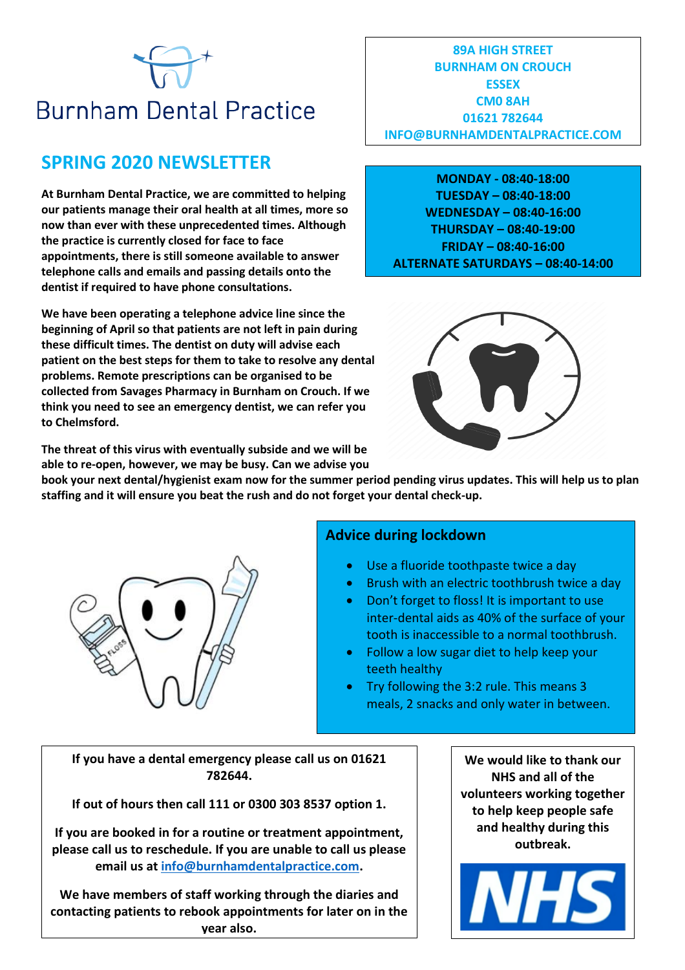# **Burnham Dental Practice**

# **SPRING 2020 NEWSLETTER**

**At Burnham Dental Practice, we are committed to helping our patients manage their oral health at all times, more so now than ever with these unprecedented times. Although the practice is currently closed for face to face appointments, there is still someone available to answer telephone calls and emails and passing details onto the dentist if required to have phone consultations.** 

**We have been operating a telephone advice line since the beginning of April so that patients are not left in pain during these difficult times. The dentist on duty will advise each patient on the best steps for them to take to resolve any dental problems. Remote prescriptions can be organised to be collected from Savages Pharmacy in Burnham on Crouch. If we think you need to see an emergency dentist, we can refer you to Chelmsford.** 

**The threat of this virus with eventually subside and we will be able to re-open, however, we may be busy. Can we advise you** 

**89A HIGH STREET BURNHAM ON CROUCH ESSEX CM0 8AH 01621 782644 INFO@BURNHAMDENTALPRACTICE.COM**

**MONDAY - 08:40-18:00 TUESDAY – 08:40-18:00 WEDNESDAY – 08:40-16:00 THURSDAY – 08:40-19:00 FRIDAY – 08:40-16:00 ALTERNATE SATURDAYS – 08:40-14:00**



**book your next dental/hygienist exam now for the summer period pending virus updates. This will help us to plan** 

**staffing and it will ensure you beat the rush and do not forget your dental check-up.** 



## **Advice during lockdown**

- Use a fluoride toothpaste twice a day
- Brush with an electric toothbrush twice a day
- Don't forget to floss! It is important to use inter-dental aids as 40% of the surface of your tooth is inaccessible to a normal toothbrush.
- Follow a low sugar diet to help keep your teeth healthy
- Try following the 3:2 rule. This means 3 meals, 2 snacks and only water in between.

**If you have a dental emergency please call us on 01621 782644.**

**If out of hours then call 111 or 0300 303 8537 option 1.**

**If you are booked in for a routine or treatment appointment, please call us to reschedule. If you are unable to call us please email us at [info@burnhamdentalpractice.com.](mailto:info@burnhamdentalpractice.com)**

**We have members of staff working through the diaries and contacting patients to rebook appointments for later on in the year also.**

**We would like to thank our NHS and all of the volunteers working together to help keep people safe and healthy during this outbreak.**

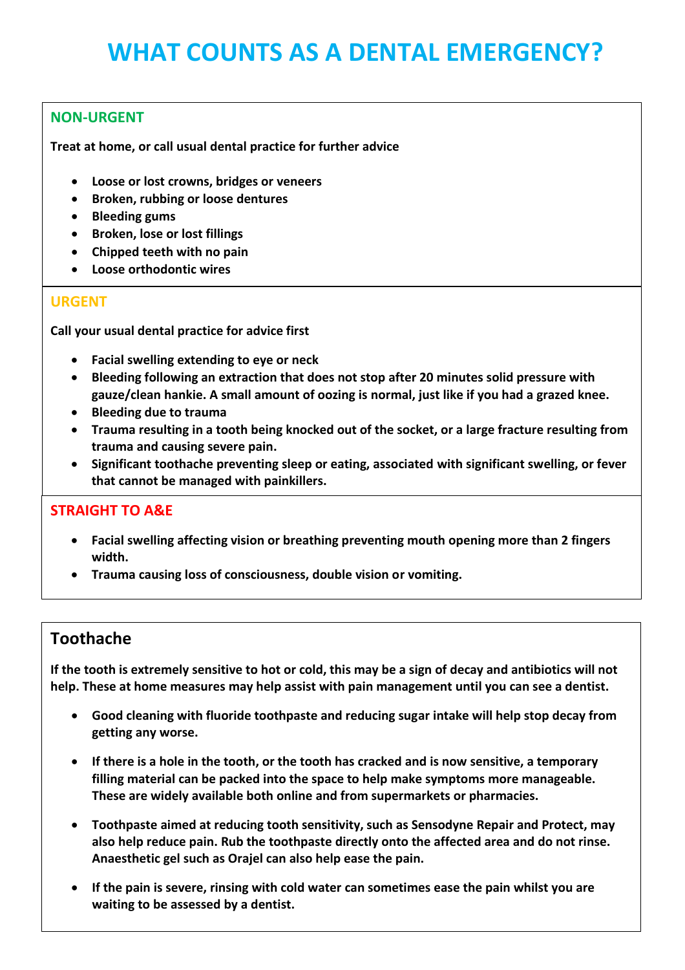# **WHAT COUNTS AS A DENTAL EMERGENCY?**

#### **NON-URGENT**

**Treat at home, or call usual dental practice for further advice** 

- **Loose or lost crowns, bridges or veneers**
- **Broken, rubbing or loose dentures**
- **Bleeding gums**
- **•** Broken, lose or lost fillings
- **Chipped teeth with no pain**
- **Loose orthodontic wires**

#### **URGENT**

**Call your usual dental practice for advice first** 

- **Facial swelling extending to eye or neck**
- **Bleeding following an extraction that does not stop after 20 minutes solid pressure with gauze/clean hankie. A small amount of oozing is normal, just like if you had a grazed knee.**
- **Bleeding due to trauma**
- **Trauma resulting in a tooth being knocked out of the socket, or a large fracture resulting from trauma and causing severe pain.**
- **Significant toothache preventing sleep or eating, associated with significant swelling, or fever that cannot be managed with painkillers.**

#### **STRAIGHT TO A&E**

- **Facial swelling affecting vision or breathing preventing mouth opening more than 2 fingers width.**
- **Trauma causing loss of consciousness, double vision or vomiting.**

## **Toothache**

**If the tooth is extremely sensitive to hot or cold, this may be a sign of decay and antibiotics will not help. These at home measures may help assist with pain management until you can see a dentist.** 

- **Good cleaning with fluoride toothpaste and reducing sugar intake will help stop decay from getting any worse.**
- **If there is a hole in the tooth, or the tooth has cracked and is now sensitive, a temporary filling material can be packed into the space to help make symptoms more manageable. These are widely available both online and from supermarkets or pharmacies.**
- **Toothpaste aimed at reducing tooth sensitivity, such as Sensodyne Repair and Protect, may also help reduce pain. Rub the toothpaste directly onto the affected area and do not rinse. Anaesthetic gel such as Orajel can also help ease the pain.**
- **If the pain is severe, rinsing with cold water can sometimes ease the pain whilst you are waiting to be assessed by a dentist.**